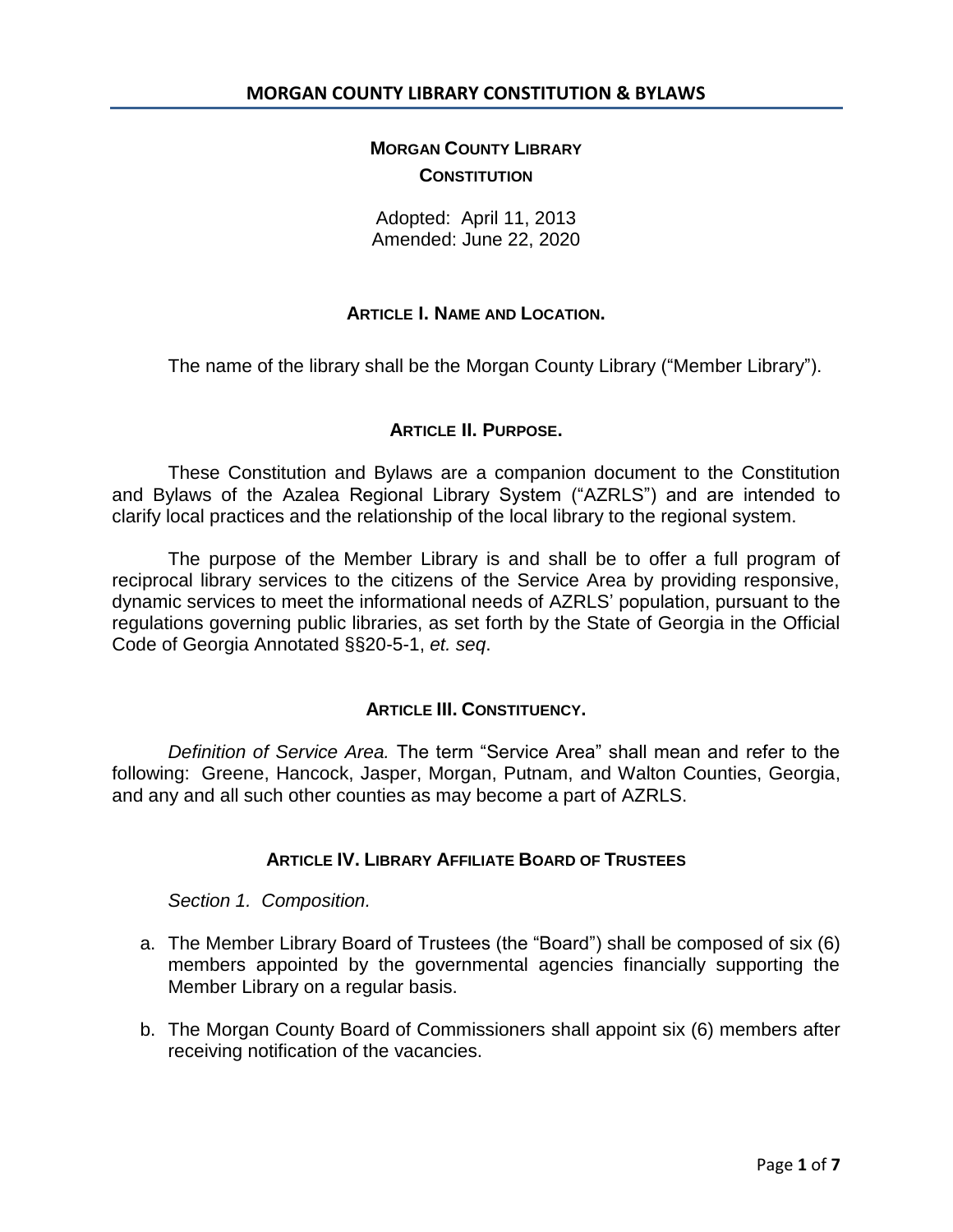# **MORGAN COUNTY LIBRARY CONSTITUTION**

Adopted: April 11, 2013 Amended: June 22, 2020

# **ARTICLE I. NAME AND LOCATION.**

The name of the library shall be the Morgan County Library ("Member Library").

# **ARTICLE II. PURPOSE.**

These Constitution and Bylaws are a companion document to the Constitution and Bylaws of the Azalea Regional Library System ("AZRLS") and are intended to clarify local practices and the relationship of the local library to the regional system.

The purpose of the Member Library is and shall be to offer a full program of reciprocal library services to the citizens of the Service Area by providing responsive, dynamic services to meet the informational needs of AZRLS' population, pursuant to the regulations governing public libraries, as set forth by the State of Georgia in the Official Code of Georgia Annotated §§20-5-1, *et. seq*.

### **ARTICLE III. CONSTITUENCY.**

*Definition of Service Area.* The term "Service Area" shall mean and refer to the following: Greene, Hancock, Jasper, Morgan, Putnam, and Walton Counties, Georgia, and any and all such other counties as may become a part of AZRLS.

## **ARTICLE IV. LIBRARY AFFILIATE BOARD OF TRUSTEES**

*Section 1. Composition.* 

- a. The Member Library Board of Trustees (the "Board") shall be composed of six (6) members appointed by the governmental agencies financially supporting the Member Library on a regular basis.
- b. The Morgan County Board of Commissioners shall appoint six (6) members after receiving notification of the vacancies.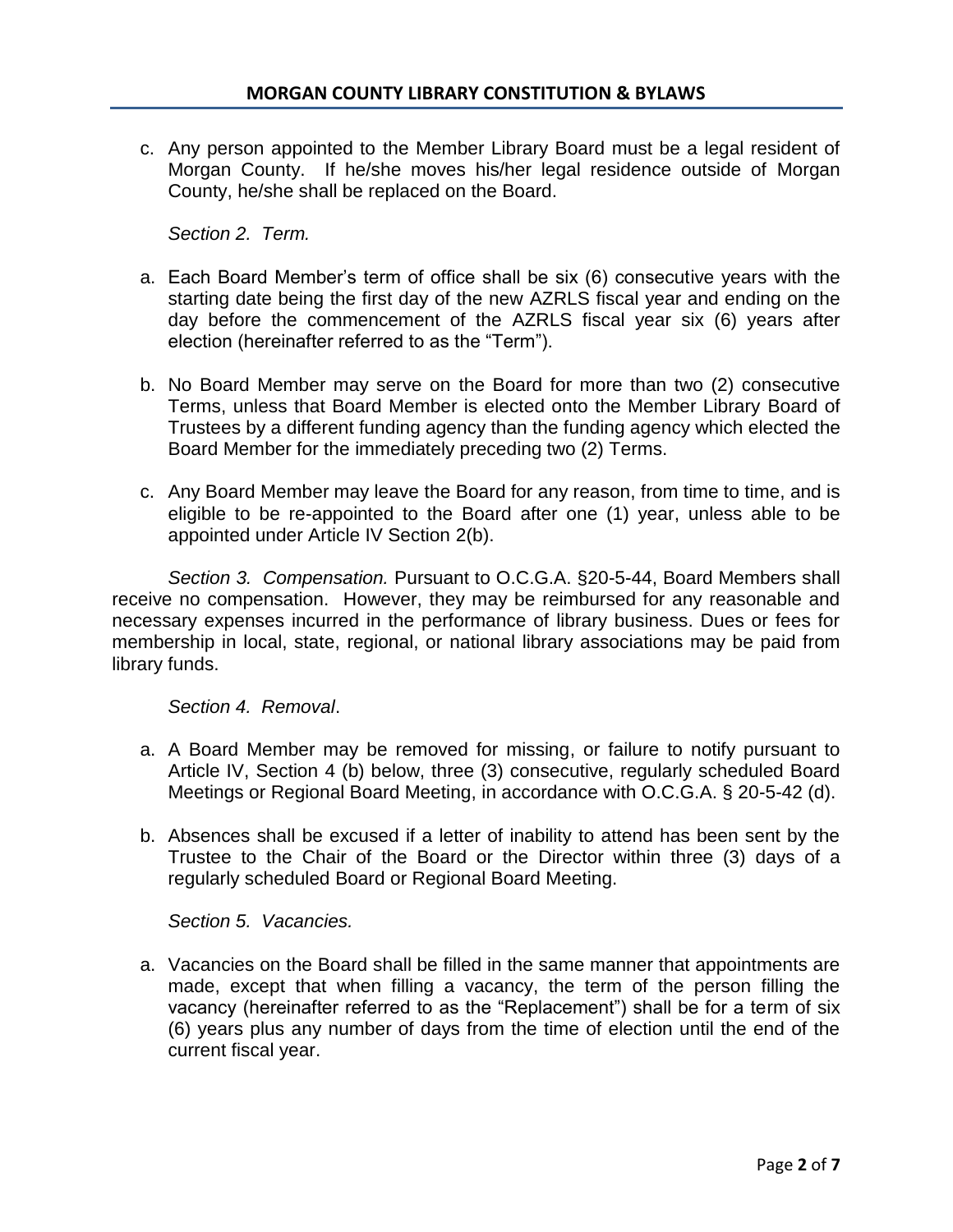c. Any person appointed to the Member Library Board must be a legal resident of Morgan County. If he/she moves his/her legal residence outside of Morgan County, he/she shall be replaced on the Board.

*Section 2. Term.*

- a. Each Board Member's term of office shall be six (6) consecutive years with the starting date being the first day of the new AZRLS fiscal year and ending on the day before the commencement of the AZRLS fiscal year six (6) years after election (hereinafter referred to as the "Term").
- b. No Board Member may serve on the Board for more than two (2) consecutive Terms, unless that Board Member is elected onto the Member Library Board of Trustees by a different funding agency than the funding agency which elected the Board Member for the immediately preceding two (2) Terms.
- c. Any Board Member may leave the Board for any reason, from time to time, and is eligible to be re-appointed to the Board after one (1) year, unless able to be appointed under Article IV Section 2(b).

*Section 3. Compensation.* Pursuant to O.C.G.A. §20-5-44, Board Members shall receive no compensation. However, they may be reimbursed for any reasonable and necessary expenses incurred in the performance of library business. Dues or fees for membership in local, state, regional, or national library associations may be paid from library funds.

*Section 4. Removal*.

- a. A Board Member may be removed for missing, or failure to notify pursuant to Article IV, Section 4 (b) below, three (3) consecutive, regularly scheduled Board Meetings or Regional Board Meeting, in accordance with O.C.G.A. § 20-5-42 (d).
- b. Absences shall be excused if a letter of inability to attend has been sent by the Trustee to the Chair of the Board or the Director within three (3) days of a regularly scheduled Board or Regional Board Meeting.

*Section 5. Vacancies.*

a. Vacancies on the Board shall be filled in the same manner that appointments are made, except that when filling a vacancy, the term of the person filling the vacancy (hereinafter referred to as the "Replacement") shall be for a term of six (6) years plus any number of days from the time of election until the end of the current fiscal year.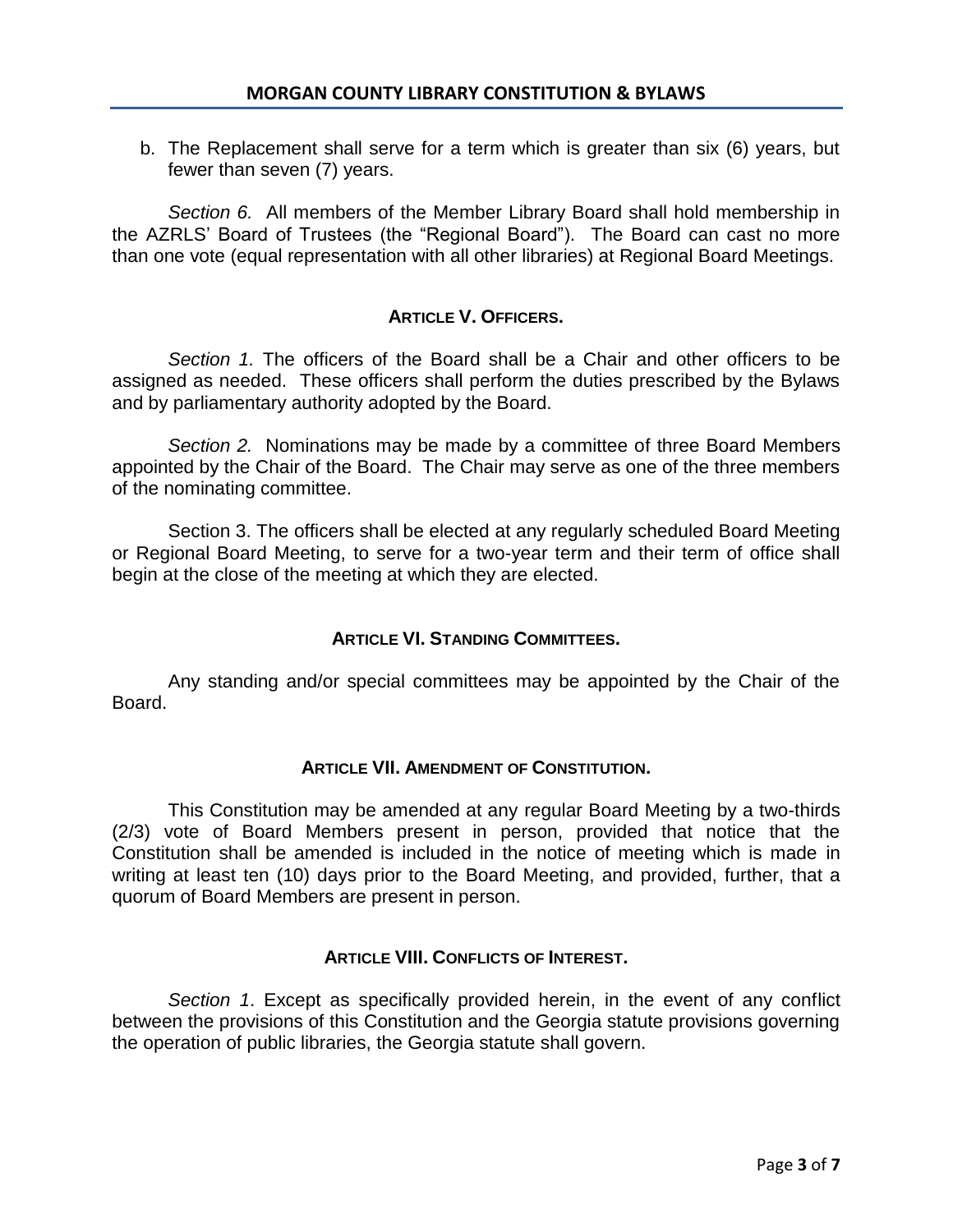b. The Replacement shall serve for a term which is greater than six (6) years, but fewer than seven (7) years.

*Section 6.* All members of the Member Library Board shall hold membership in the AZRLS' Board of Trustees (the "Regional Board"). The Board can cast no more than one vote (equal representation with all other libraries) at Regional Board Meetings.

# **ARTICLE V. OFFICERS.**

*Section 1.* The officers of the Board shall be a Chair and other officers to be assigned as needed. These officers shall perform the duties prescribed by the Bylaws and by parliamentary authority adopted by the Board.

*Section 2.* Nominations may be made by a committee of three Board Members appointed by the Chair of the Board. The Chair may serve as one of the three members of the nominating committee.

Section 3. The officers shall be elected at any regularly scheduled Board Meeting or Regional Board Meeting, to serve for a two-year term and their term of office shall begin at the close of the meeting at which they are elected.

# **ARTICLE VI. STANDING COMMITTEES.**

Any standing and/or special committees may be appointed by the Chair of the Board.

# **ARTICLE VII. AMENDMENT OF CONSTITUTION.**

This Constitution may be amended at any regular Board Meeting by a two-thirds (2/3) vote of Board Members present in person, provided that notice that the Constitution shall be amended is included in the notice of meeting which is made in writing at least ten (10) days prior to the Board Meeting, and provided, further, that a quorum of Board Members are present in person.

# **ARTICLE VIII. CONFLICTS OF INTEREST.**

*Section 1*. Except as specifically provided herein, in the event of any conflict between the provisions of this Constitution and the Georgia statute provisions governing the operation of public libraries, the Georgia statute shall govern.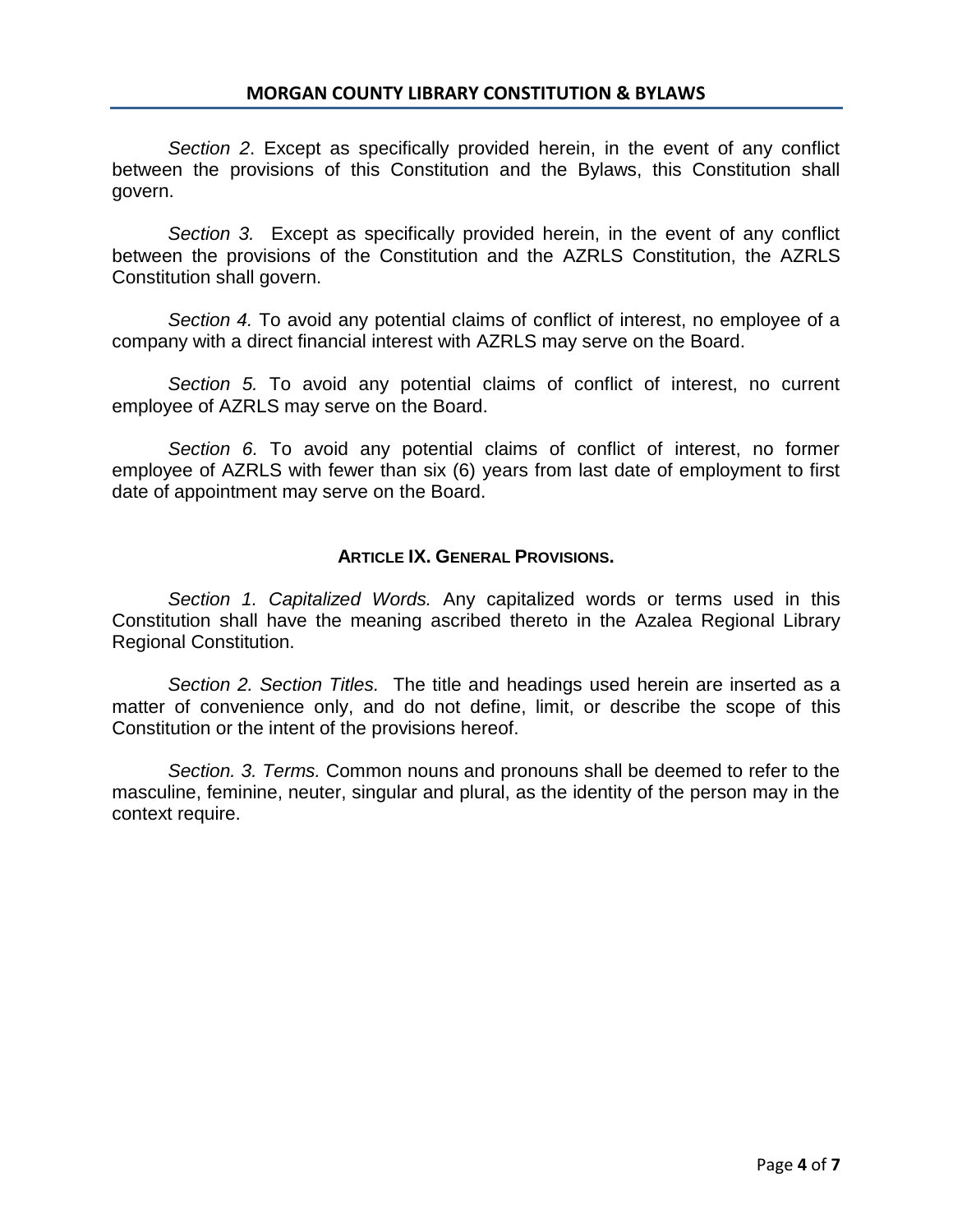*Section 2*. Except as specifically provided herein, in the event of any conflict between the provisions of this Constitution and the Bylaws, this Constitution shall govern.

*Section 3.* Except as specifically provided herein, in the event of any conflict between the provisions of the Constitution and the AZRLS Constitution, the AZRLS Constitution shall govern.

*Section 4.* To avoid any potential claims of conflict of interest, no employee of a company with a direct financial interest with AZRLS may serve on the Board.

*Section 5.* To avoid any potential claims of conflict of interest, no current employee of AZRLS may serve on the Board.

*Section 6.* To avoid any potential claims of conflict of interest, no former employee of AZRLS with fewer than six (6) years from last date of employment to first date of appointment may serve on the Board.

## **ARTICLE IX. GENERAL PROVISIONS.**

*Section 1. Capitalized Words.* Any capitalized words or terms used in this Constitution shall have the meaning ascribed thereto in the Azalea Regional Library Regional Constitution.

*Section 2. Section Titles.* The title and headings used herein are inserted as a matter of convenience only, and do not define, limit, or describe the scope of this Constitution or the intent of the provisions hereof.

*Section. 3. Terms.* Common nouns and pronouns shall be deemed to refer to the masculine, feminine, neuter, singular and plural, as the identity of the person may in the context require.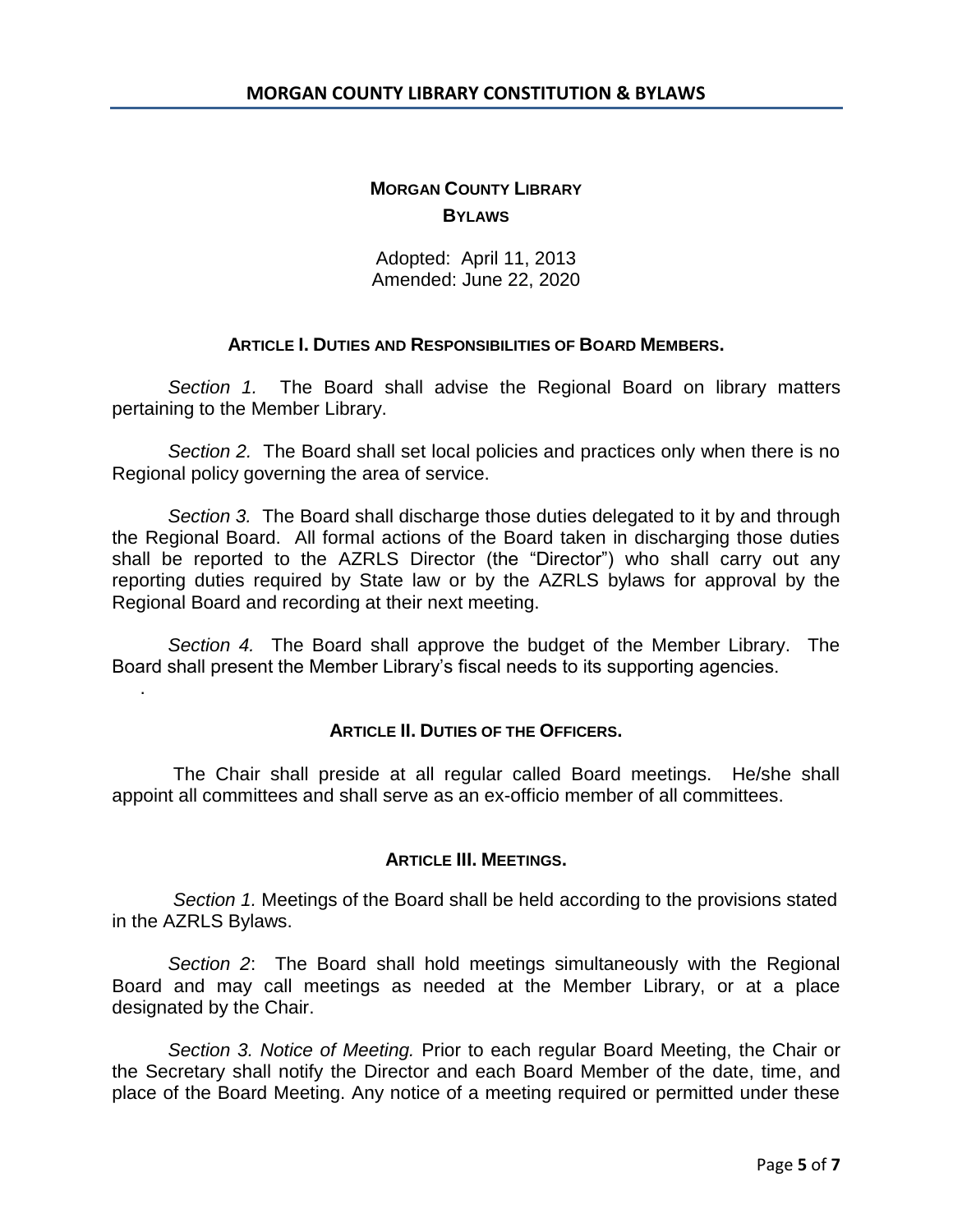# **MORGAN COUNTY LIBRARY BYLAWS**

Adopted: April 11, 2013 Amended: June 22, 2020

### **ARTICLE I. DUTIES AND RESPONSIBILITIES OF BOARD MEMBERS.**

*Section 1.* The Board shall advise the Regional Board on library matters pertaining to the Member Library.

*Section 2.* The Board shall set local policies and practices only when there is no Regional policy governing the area of service.

*Section 3.* The Board shall discharge those duties delegated to it by and through the Regional Board. All formal actions of the Board taken in discharging those duties shall be reported to the AZRLS Director (the "Director") who shall carry out any reporting duties required by State law or by the AZRLS bylaws for approval by the Regional Board and recording at their next meeting.

*Section 4.* The Board shall approve the budget of the Member Library. The Board shall present the Member Library's fiscal needs to its supporting agencies.

.

### **ARTICLE II. DUTIES OF THE OFFICERS.**

The Chair shall preside at all regular called Board meetings. He/she shall appoint all committees and shall serve as an ex-officio member of all committees.

### **ARTICLE III. MEETINGS.**

*Section 1.* Meetings of the Board shall be held according to the provisions stated in the AZRLS Bylaws.

*Section 2*: The Board shall hold meetings simultaneously with the Regional Board and may call meetings as needed at the Member Library, or at a place designated by the Chair.

*Section 3. Notice of Meeting.* Prior to each regular Board Meeting, the Chair or the Secretary shall notify the Director and each Board Member of the date, time, and place of the Board Meeting. Any notice of a meeting required or permitted under these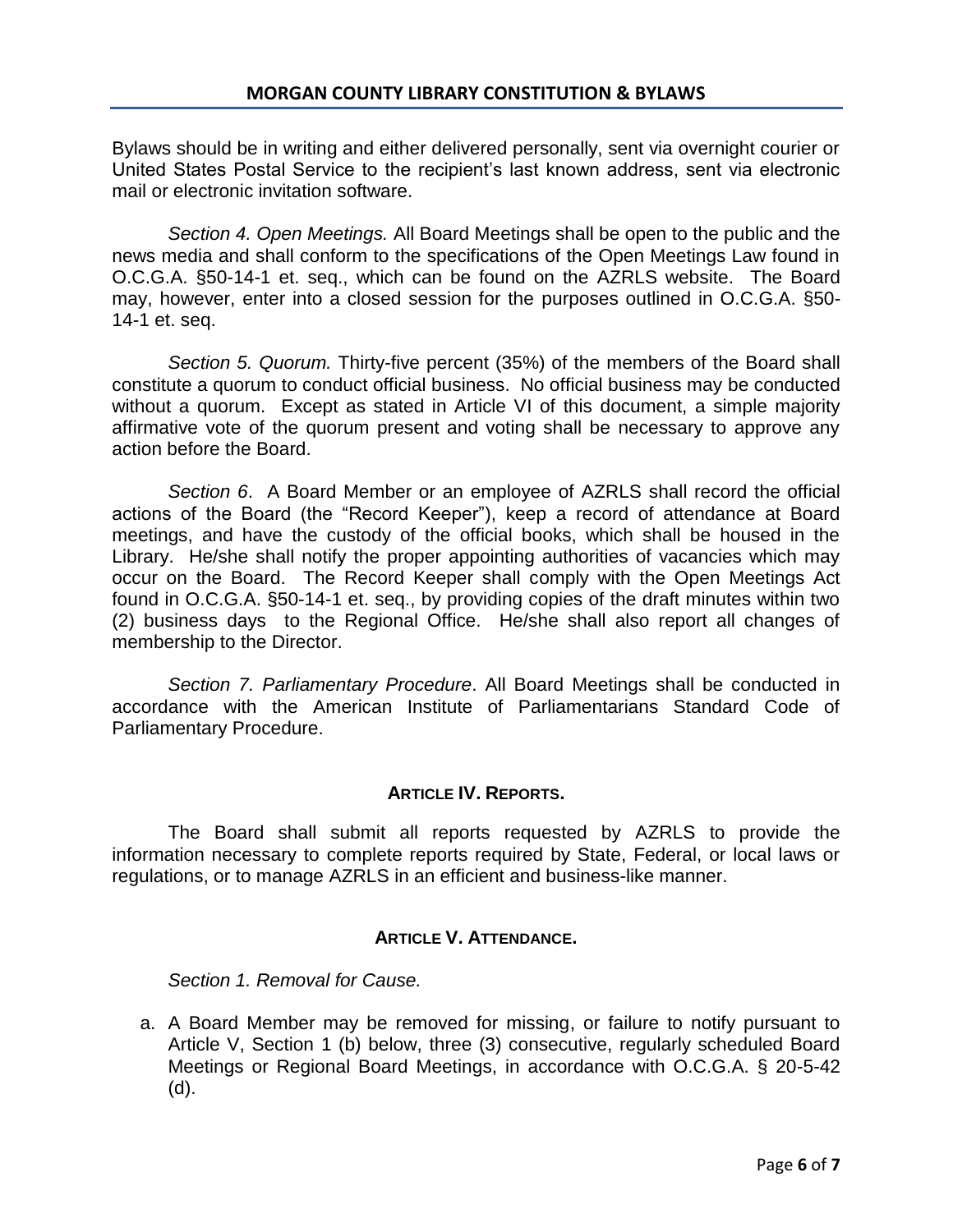Bylaws should be in writing and either delivered personally, sent via overnight courier or United States Postal Service to the recipient's last known address, sent via electronic mail or electronic invitation software.

*Section 4. Open Meetings.* All Board Meetings shall be open to the public and the news media and shall conform to the specifications of the Open Meetings Law found in O.C.G.A. §50-14-1 et. seq., which can be found on the AZRLS website. The Board may, however, enter into a closed session for the purposes outlined in O.C.G.A. §50- 14-1 et. seq.

*Section 5. Quorum.* Thirty-five percent (35%) of the members of the Board shall constitute a quorum to conduct official business. No official business may be conducted without a quorum. Except as stated in Article VI of this document, a simple majority affirmative vote of the quorum present and voting shall be necessary to approve any action before the Board.

*Section 6*. A Board Member or an employee of AZRLS shall record the official actions of the Board (the "Record Keeper"), keep a record of attendance at Board meetings, and have the custody of the official books, which shall be housed in the Library. He/she shall notify the proper appointing authorities of vacancies which may occur on the Board. The Record Keeper shall comply with the Open Meetings Act found in O.C.G.A. §50-14-1 et. seq., by providing copies of the draft minutes within two (2) business days to the Regional Office. He/she shall also report all changes of membership to the Director.

*Section 7. Parliamentary Procedure*. All Board Meetings shall be conducted in accordance with the American Institute of Parliamentarians Standard Code of Parliamentary Procedure.

# **ARTICLE IV. REPORTS.**

The Board shall submit all reports requested by AZRLS to provide the information necessary to complete reports required by State, Federal, or local laws or regulations, or to manage AZRLS in an efficient and business-like manner.

# **ARTICLE V. ATTENDANCE.**

*Section 1. Removal for Cause.*

a. A Board Member may be removed for missing, or failure to notify pursuant to Article V, Section 1 (b) below, three (3) consecutive, regularly scheduled Board Meetings or Regional Board Meetings, in accordance with O.C.G.A. § 20-5-42 (d).